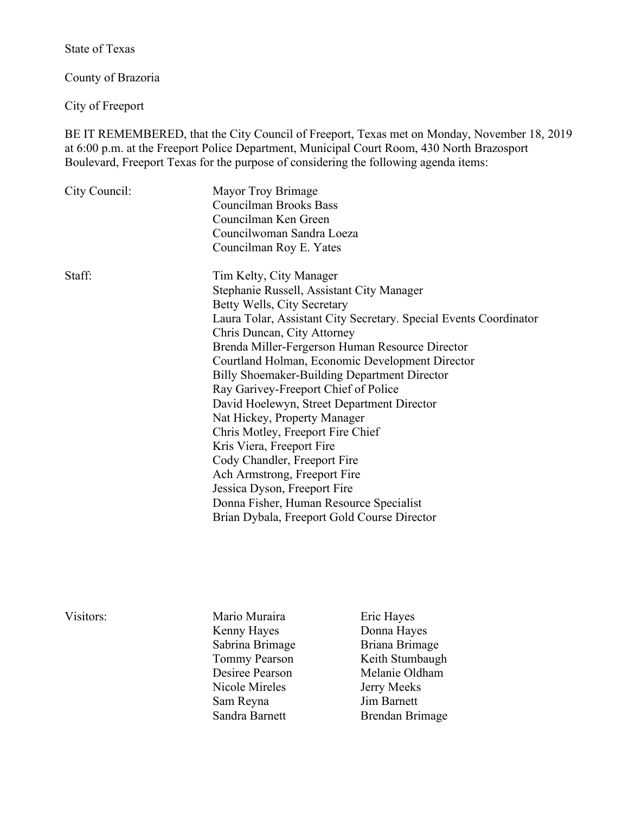State of Texas

County of Brazoria

City of Freeport

BE IT REMEMBERED, that the City Council of Freeport, Texas met on Monday, November 18, 2019 at 6:00 p.m. at the Freeport Police Department, Municipal Court Room, 430 North Brazosport Boulevard, Freeport Texas for the purpose of considering the following agenda items:

| City Council: | Mayor Troy Brimage<br><b>Councilman Brooks Bass</b><br>Councilman Ken Green<br>Councilwoman Sandra Loeza                                                                                                                                                                                                                                                                                                                                                                                                                                                                                                                                                                                                                                        |
|---------------|-------------------------------------------------------------------------------------------------------------------------------------------------------------------------------------------------------------------------------------------------------------------------------------------------------------------------------------------------------------------------------------------------------------------------------------------------------------------------------------------------------------------------------------------------------------------------------------------------------------------------------------------------------------------------------------------------------------------------------------------------|
|               | Councilman Roy E. Yates                                                                                                                                                                                                                                                                                                                                                                                                                                                                                                                                                                                                                                                                                                                         |
| Staff:        | Tim Kelty, City Manager<br>Stephanie Russell, Assistant City Manager<br>Betty Wells, City Secretary<br>Laura Tolar, Assistant City Secretary. Special Events Coordinator<br>Chris Duncan, City Attorney<br>Brenda Miller-Fergerson Human Resource Director<br>Courtland Holman, Economic Development Director<br>Billy Shoemaker-Building Department Director<br>Ray Garivey-Freeport Chief of Police<br>David Hoelewyn, Street Department Director<br>Nat Hickey, Property Manager<br>Chris Motley, Freeport Fire Chief<br>Kris Viera, Freeport Fire<br>Cody Chandler, Freeport Fire<br>Ach Armstrong, Freeport Fire<br>Jessica Dyson, Freeport Fire<br>Donna Fisher, Human Resource Specialist<br>Brian Dybala, Freeport Gold Course Director |

| Visitors: |  |
|-----------|--|
|           |  |

Mario Muraira **Eric Hayes** Kenny Hayes Donna Hayes Sabrina Brimage<br>
Tommy Pearson<br>
Keith Stumbaug Nicole Mireles Jerry Meeks Sam Reyna Jim Barnett

Keith Stumbaugh Desiree Pearson Melanie Oldham Sandra Barnett Brendan Brimage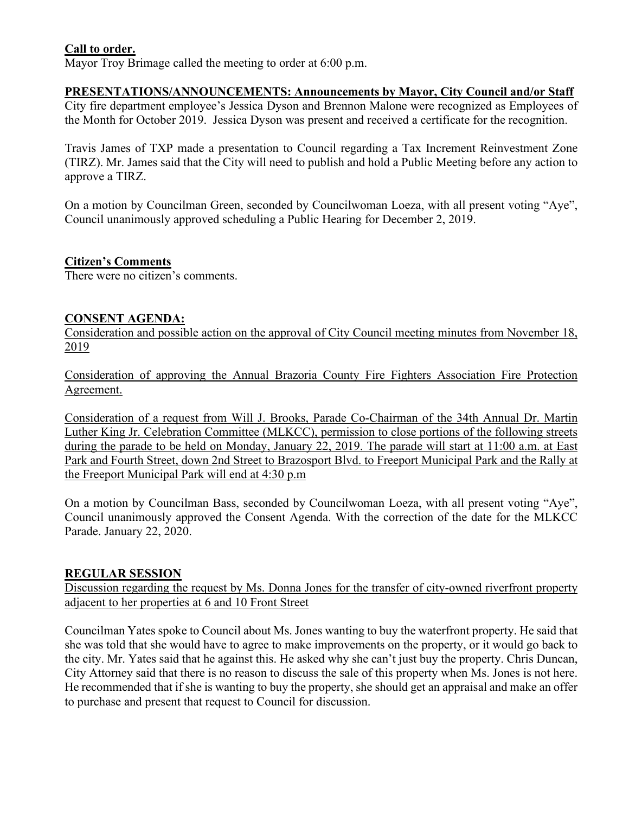# **Call to order.**

Mayor Troy Brimage called the meeting to order at 6:00 p.m.

### **PRESENTATIONS/ANNOUNCEMENTS: Announcements by Mayor, City Council and/or Staff**

City fire department employee's Jessica Dyson and Brennon Malone were recognized as Employees of the Month for October 2019. Jessica Dyson was present and received a certificate for the recognition.

Travis James of TXP made a presentation to Council regarding a Tax Increment Reinvestment Zone (TIRZ). Mr. James said that the City will need to publish and hold a Public Meeting before any action to approve a TIRZ.

On a motion by Councilman Green, seconded by Councilwoman Loeza, with all present voting "Aye", Council unanimously approved scheduling a Public Hearing for December 2, 2019.

### **Citizen's Comments**

There were no citizen's comments.

### **CONSENT AGENDA:**

Consideration and possible action on the approval of City Council meeting minutes from November 18, 2019

Consideration of approving the Annual Brazoria County Fire Fighters Association Fire Protection Agreement.

Consideration of a request from Will J. Brooks, Parade Co-Chairman of the 34th Annual Dr. Martin Luther King Jr. Celebration Committee (MLKCC), permission to close portions of the following streets during the parade to be held on Monday, January 22, 2019. The parade will start at 11:00 a.m. at East Park and Fourth Street, down 2nd Street to Brazosport Blvd. to Freeport Municipal Park and the Rally at the Freeport Municipal Park will end at 4:30 p.m

On a motion by Councilman Bass, seconded by Councilwoman Loeza, with all present voting "Aye", Council unanimously approved the Consent Agenda. With the correction of the date for the MLKCC Parade. January 22, 2020.

## **REGULAR SESSION**

Discussion regarding the request by Ms. Donna Jones for the transfer of city-owned riverfront property adjacent to her properties at 6 and 10 Front Street

Councilman Yates spoke to Council about Ms. Jones wanting to buy the waterfront property. He said that she was told that she would have to agree to make improvements on the property, or it would go back to the city. Mr. Yates said that he against this. He asked why she can't just buy the property. Chris Duncan, City Attorney said that there is no reason to discuss the sale of this property when Ms. Jones is not here. He recommended that if she is wanting to buy the property, she should get an appraisal and make an offer to purchase and present that request to Council for discussion.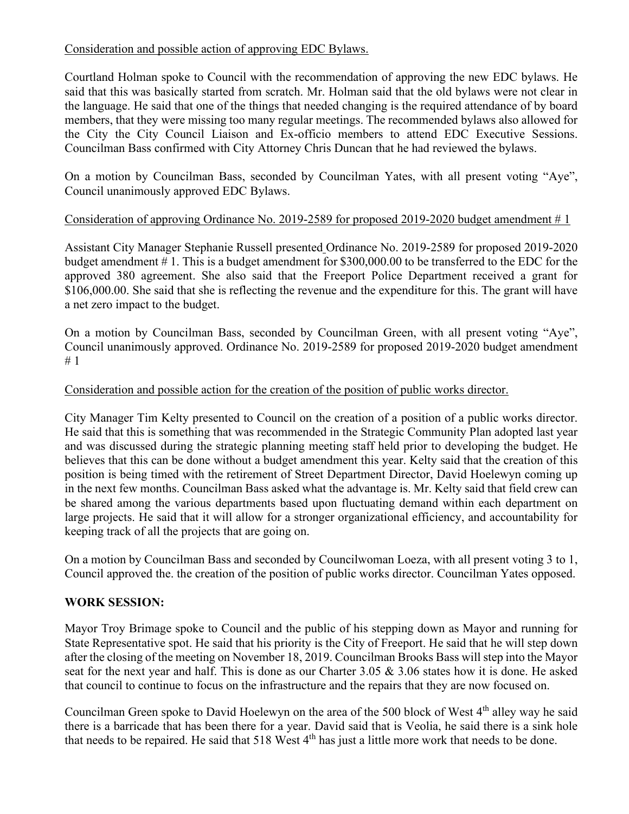# Consideration and possible action of approving EDC Bylaws.

Courtland Holman spoke to Council with the recommendation of approving the new EDC bylaws. He said that this was basically started from scratch. Mr. Holman said that the old bylaws were not clear in the language. He said that one of the things that needed changing is the required attendance of by board members, that they were missing too many regular meetings. The recommended bylaws also allowed for the City the City Council Liaison and Ex-officio members to attend EDC Executive Sessions. Councilman Bass confirmed with City Attorney Chris Duncan that he had reviewed the bylaws.

On a motion by Councilman Bass, seconded by Councilman Yates, with all present voting "Aye", Council unanimously approved EDC Bylaws.

### Consideration of approving Ordinance No. 2019-2589 for proposed 2019-2020 budget amendment  $\# 1$

Assistant City Manager Stephanie Russell presented Ordinance No. 2019-2589 for proposed 2019-2020 budget amendment # 1. This is a budget amendment for \$300,000.00 to be transferred to the EDC for the approved 380 agreement. She also said that the Freeport Police Department received a grant for \$106,000.00. She said that she is reflecting the revenue and the expenditure for this. The grant will have a net zero impact to the budget.

On a motion by Councilman Bass, seconded by Councilman Green, with all present voting "Aye", Council unanimously approved. Ordinance No. 2019-2589 for proposed 2019-2020 budget amendment # 1

### Consideration and possible action for the creation of the position of public works director.

City Manager Tim Kelty presented to Council on the creation of a position of a public works director. He said that this is something that was recommended in the Strategic Community Plan adopted last year and was discussed during the strategic planning meeting staff held prior to developing the budget. He believes that this can be done without a budget amendment this year. Kelty said that the creation of this position is being timed with the retirement of Street Department Director, David Hoelewyn coming up in the next few months. Councilman Bass asked what the advantage is. Mr. Kelty said that field crew can be shared among the various departments based upon fluctuating demand within each department on large projects. He said that it will allow for a stronger organizational efficiency, and accountability for keeping track of all the projects that are going on.

On a motion by Councilman Bass and seconded by Councilwoman Loeza, with all present voting 3 to 1, Council approved the. the creation of the position of public works director. Councilman Yates opposed.

## **WORK SESSION:**

Mayor Troy Brimage spoke to Council and the public of his stepping down as Mayor and running for State Representative spot. He said that his priority is the City of Freeport. He said that he will step down after the closing of the meeting on November 18, 2019. Councilman Brooks Bass will step into the Mayor seat for the next year and half. This is done as our Charter 3.05 & 3.06 states how it is done. He asked that council to continue to focus on the infrastructure and the repairs that they are now focused on.

Councilman Green spoke to David Hoelewyn on the area of the 500 block of West 4<sup>th</sup> alley way he said there is a barricade that has been there for a year. David said that is Veolia, he said there is a sink hole that needs to be repaired. He said that 518 West 4<sup>th</sup> has just a little more work that needs to be done.